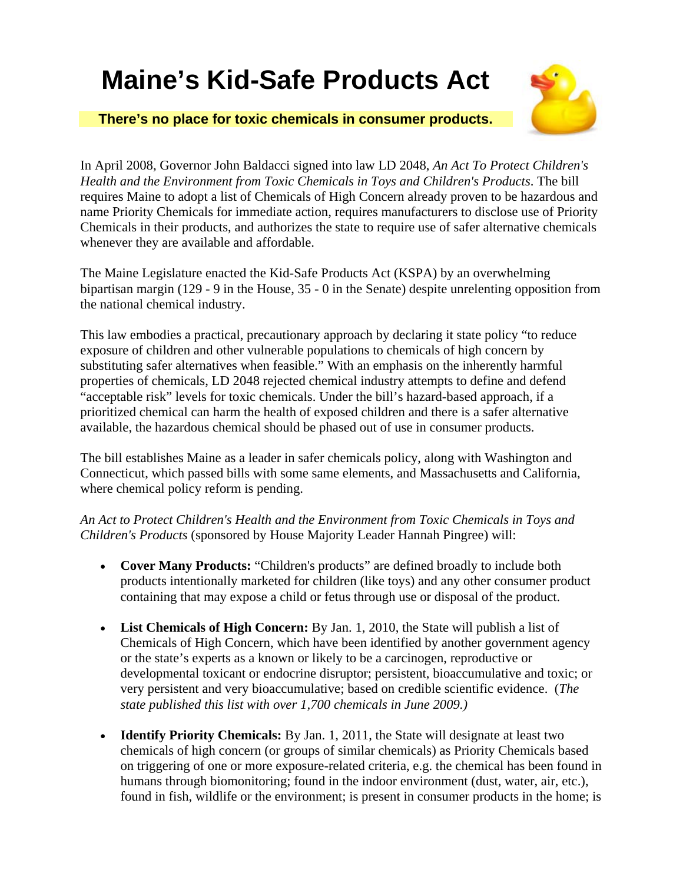## **Maine's Kid-Safe Products Act**





In April 2008, Governor John Baldacci signed into law LD 2048, *An Act To Protect Children's Health and the Environment from Toxic Chemicals in Toys and Children's Products*. The bill requires Maine to adopt a list of Chemicals of High Concern already proven to be hazardous and name Priority Chemicals for immediate action, requires manufacturers to disclose use of Priority Chemicals in their products, and authorizes the state to require use of safer alternative chemicals whenever they are available and affordable.

The Maine Legislature enacted the Kid-Safe Products Act (KSPA) by an overwhelming bipartisan margin (129 - 9 in the House, 35 - 0 in the Senate) despite unrelenting opposition from the national chemical industry.

This law embodies a practical, precautionary approach by declaring it state policy "to reduce exposure of children and other vulnerable populations to chemicals of high concern by substituting safer alternatives when feasible." With an emphasis on the inherently harmful properties of chemicals, LD 2048 rejected chemical industry attempts to define and defend "acceptable risk" levels for toxic chemicals. Under the bill's hazard-based approach, if a prioritized chemical can harm the health of exposed children and there is a safer alternative available, the hazardous chemical should be phased out of use in consumer products.

The bill establishes Maine as a leader in safer chemicals policy, along with Washington and Connecticut, which passed bills with some same elements, and Massachusetts and California, where chemical policy reform is pending.

*An Act to Protect Children's Health and the Environment from Toxic Chemicals in Toys and Children's Products* (sponsored by House Majority Leader Hannah Pingree) will:

- **Cover Many Products:** "Children's products" are defined broadly to include both products intentionally marketed for children (like toys) and any other consumer product containing that may expose a child or fetus through use or disposal of the product.
- **List Chemicals of High Concern:** By Jan. 1, 2010, the State will publish a list of Chemicals of High Concern, which have been identified by another government agency or the state's experts as a known or likely to be a carcinogen, reproductive or developmental toxicant or endocrine disruptor; persistent, bioaccumulative and toxic; or very persistent and very bioaccumulative; based on credible scientific evidence. (*The state published this list with over 1,700 chemicals in June 2009.)*
- **Identify Priority Chemicals:** By Jan. 1, 2011, the State will designate at least two chemicals of high concern (or groups of similar chemicals) as Priority Chemicals based on triggering of one or more exposure-related criteria, e.g. the chemical has been found in humans through biomonitoring; found in the indoor environment (dust, water, air, etc.), found in fish, wildlife or the environment; is present in consumer products in the home; is